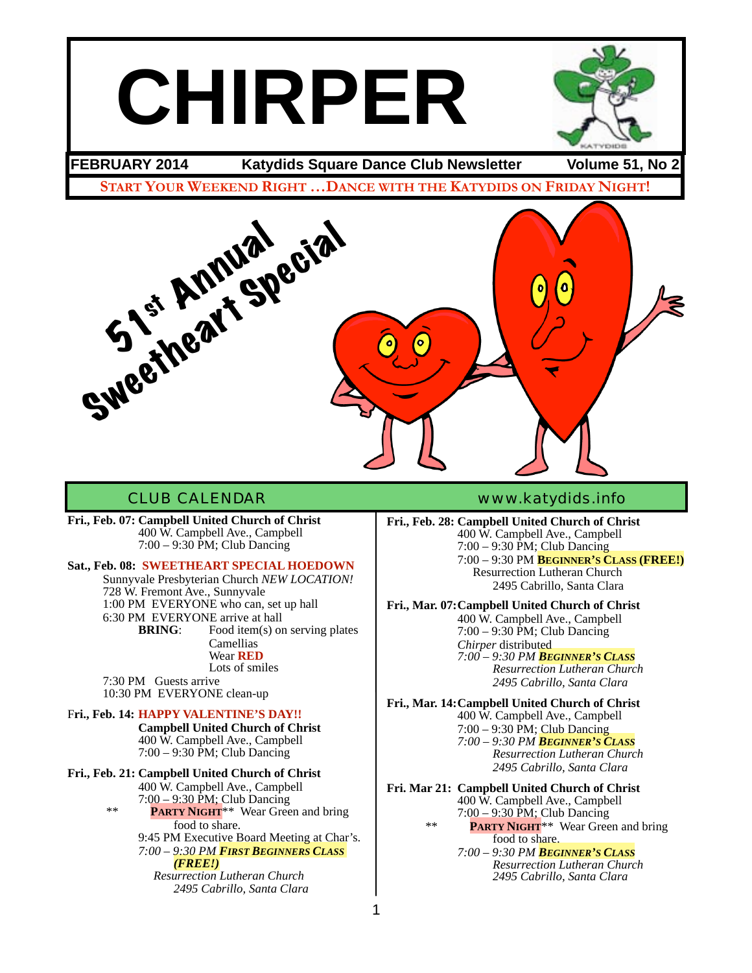# **CHIRPER**



**FEBRUARY 2014 Katydids Square Dance Club Newsletter Volume 51, No 2**

**START YOUR WEEKEND RIGHT …DANCE WITH THE KATYDIDS ON FRIDAY NIGHT!**



**Fri., Feb. 07: Campbell United Church of Christ** ! ! 400 W. Campbell Ave., Campbell ! ! 7:00 – 9:30 PM; Club Dancing

#### **Sat., Feb. 08: SWEETHEART SPECIAL HOEDOWN**

Sunnyvale Presbyterian Church *NEW LOCATION!* 728 W. Fremont Ave., Sunnyvale 1:00 PM EVERYONE who can, set up hall 6:30 PM EVERYONE arrive at hall<br>**BRING**: Food item(s) or Food item(s) on serving plates Camellias Wear **RED** Lots of smiles

7:30 PM Guests arrive 10:30 PM EVERYONE clean-up

#### F**ri., Feb. 14: HAPPY VALENTINE'S DAY!!**

**! ! Campbell United Church of Christ** ! ! 400 W. Campbell Ave., Campbell ! ! 7:00 – 9:30 PM; Club Dancing

#### **Fri., Feb. 21: Campbell United Church of Christ**

! ! 400 W. Campbell Ave., Campbell  $7:00-9:30$  PM; Club Dancing **PARTY NIGHT**\*\* Wear Green and bring food to share. 9:45 PM Executive Board Meeting at Char's. ! ! *7:00 – 9:30 PM FIRST BEGINNERS CLASS !!! (FREE!) ! ! Resurrection Lutheran Church! ! ! ! ! ! 2495 Cabrillo, Santa Clara*

#### CLUB CALENDAR [www.katydids.info](http://www.katydids.info)

**Fri., Feb. 28: Campbell United Church of Christ** ! ! 400 W. Campbell Ave., Campbell  $7:00 - 9:30$  PM; Club Dancing ! ! 7:00 – 9:30 PM **BEGINNER'S CLASS (FREE!) Resurrection Lutheran Church** 2495 Cabrillo, Santa Clara

**Fri., Mar. 07:Campbell United Church of Christ** ! ! 400 W. Campbell Ave., Campbell  $7:00 - 9:30$  PM; Club Dancing *Chirper* distributed

! ! *7:00 – 9:30 PM BEGINNER'S CLASS! ! ! ! Resurrection Lutheran Church! ! ! ! ! 2495 Cabrillo, Santa Clara* 

**Fri., Mar. 14:Campbell United Church of Christ** ! ! 400 W. Campbell Ave., Campbell ! ! 7:00 – 9:30 PM; Club Dancing ! ! *7:00 – 9:30 PM BEGINNER'S CLASS! ! ! ! Resurrection Lutheran Church! ! ! ! ! 2495 Cabrillo, Santa Clara*

**Fri. Mar 21: Campbell United Church of Christ** ! ! 400 W. Campbell Ave., Campbell  $7:00 - 9:30$  PM; Club Dancing<br>\*\* **PARTY NIGHT**\*\* Wear Green and bring food to share. ! ! *7:00 – 9:30 PM BEGINNER'S CLASS! ! ! ! Resurrection Lutheran Church! ! ! ! ! 2495 Cabrillo, Santa Clara*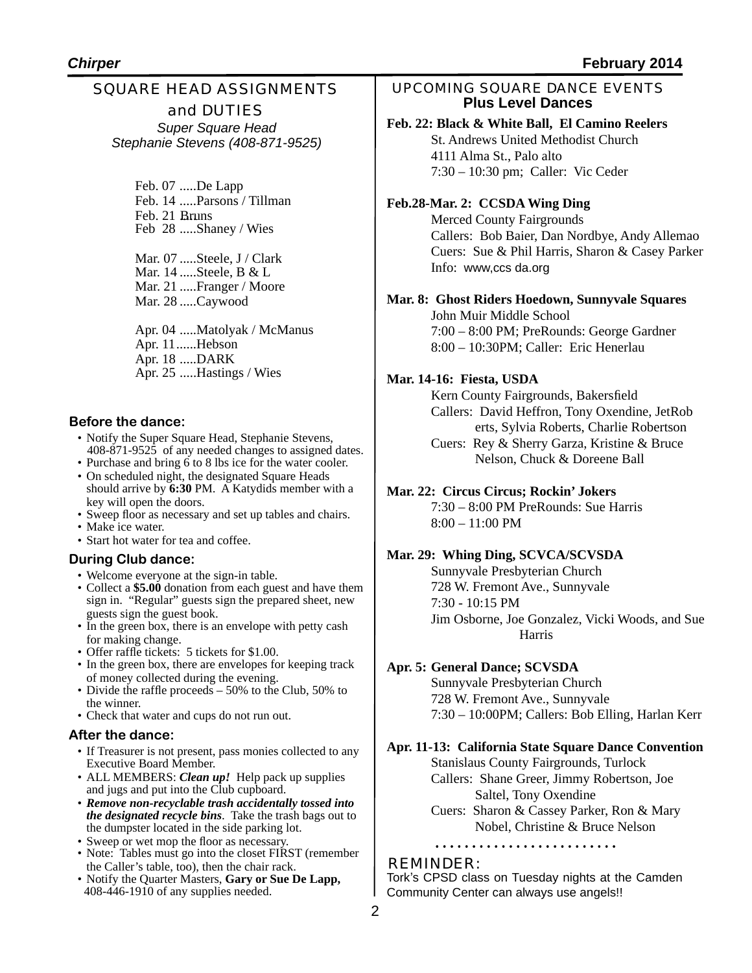## SQUARE HEAD ASSIGNMENTS and DUTIES

*Super Square Head Stephanie Stevens (408-871-9525)*

> Feb. 07 .....De Lapp Feb. 14 .....Parsons / Tillman Feb. 21 Bruns Feb 28 .....Shaney / Wies

Mar. 07 .....Steele, J / Clark Mar. 14 .....Steele, B & L Mar. 21 .....Franger / Moore Mar. 28 .....Caywood

Apr. 04 .....Matolyak / McManus Apr. 11......Hebson Apr. 18 .....DARK Apr. 25 .....Hastings / Wies

#### **Before the dance:**

- Notify the Super Square Head, Stephanie Stevens, 408-871-9525 of any needed changes to assigned dates.
- Purchase and bring 6 to 8 lbs ice for the water cooler. • On scheduled night, the designated Square Heads should arrive by **6:30** PM. A Katydids member with a
- key will open the doors.
- Sweep floor as necessary and set up tables and chairs.
- Make ice water.
- Start hot water for tea and coffee.

#### **During Club dance:**

- Welcome everyone at the sign-in table.
- Collect a **\$5.00** donation from each guest and have them sign in. "Regular" guests sign the prepared sheet, new guests sign the guest book.
- In the green box, there is an envelope with petty cash for making change.
- Offer raffle tickets: 5 tickets for \$1.00.
- In the green box, there are envelopes for keeping track of money collected during the evening.
- Divide the raffle proceeds 50% to the Club, 50% to the winner.
- Check that water and cups do not run out.

#### **After the dance:**

- If Treasurer is not present, pass monies collected to any Executive Board Member.
- ALL MEMBERS: *Clean up!* Help pack up supplies and jugs and put into the Club cupboard.
- *Remove non-recyclable trash accidentally tossed into the designated recycle bins*. Take the trash bags out to the dumpster located in the side parking lot.
- Sweep or wet mop the floor as necessary.
- Note: Tables must go into the closet FIRST (remember the Caller's table, too), then the chair rack.
- Notify the Quarter Masters, **Gary or Sue De Lapp,**  408-446-1910 of any supplies needed.

UPCOMING SQUARE DANCE EVENTS **Plus Level Dances**

#### **Feb. 22: Black & White Ball, El Camino Reelers**

St. Andrews United Methodist Church 4111 Alma St., Palo alto 7:30 – 10:30 pm; Caller: Vic Ceder

#### **Feb.28-Mar. 2: CCSDA Wing Ding**

Merced County Fairgrounds Callers: Bob Baier, Dan Nordbye, Andy Allemao Cuers: Sue & Phil Harris, Sharon & Casey Parker Info: www,ccs da.org

#### **Mar. 8: Ghost Riders Hoedown, Sunnyvale Squares**

John Muir Middle School 7:00 – 8:00 PM; PreRounds: George Gardner 8:00 – 10:30PM; Caller: Eric Henerlau

#### **Mar. 14-16: Fiesta, USDA**

Kern County Fairgrounds, Bakersfield Callers: David Heffron, Tony Oxendine, JetRob erts, Sylvia Roberts, Charlie Robertson Cuers: Rey & Sherry Garza, Kristine & Bruce Nelson, Chuck & Doreene Ball

#### **Mar. 22: Circus Circus; Rockin' Jokers**

7:30 – 8:00 PM PreRounds: Sue Harris 8:00 – 11:00 PM

#### **Mar. 29: Whing Ding, SCVCA/SCVSDA**

Sunnyvale Presbyterian Church 728 W. Fremont Ave., Sunnyvale 7:30 - 10:15 PM Jim Osborne, Joe Gonzalez, Vicki Woods, and Sue Harris

#### **Apr. 5: General Dance; SCVSDA**

Sunnyvale Presbyterian Church 728 W. Fremont Ave., Sunnyvale 7:30 – 10:00PM; Callers: Bob Elling, Harlan Kerr

#### **Apr. 11-13: California State Square Dance Convention**

Stanislaus County Fairgrounds, Turlock Callers: Shane Greer, Jimmy Robertson, Joe Saltel, Tony Oxendine Cuers: Sharon & Cassey Parker, Ron & Mary

Nobel, Christine & Bruce Nelson

#### REMINDER:

Tork's CPSD class on Tuesday nights at the Camden Community Center can always use angels!!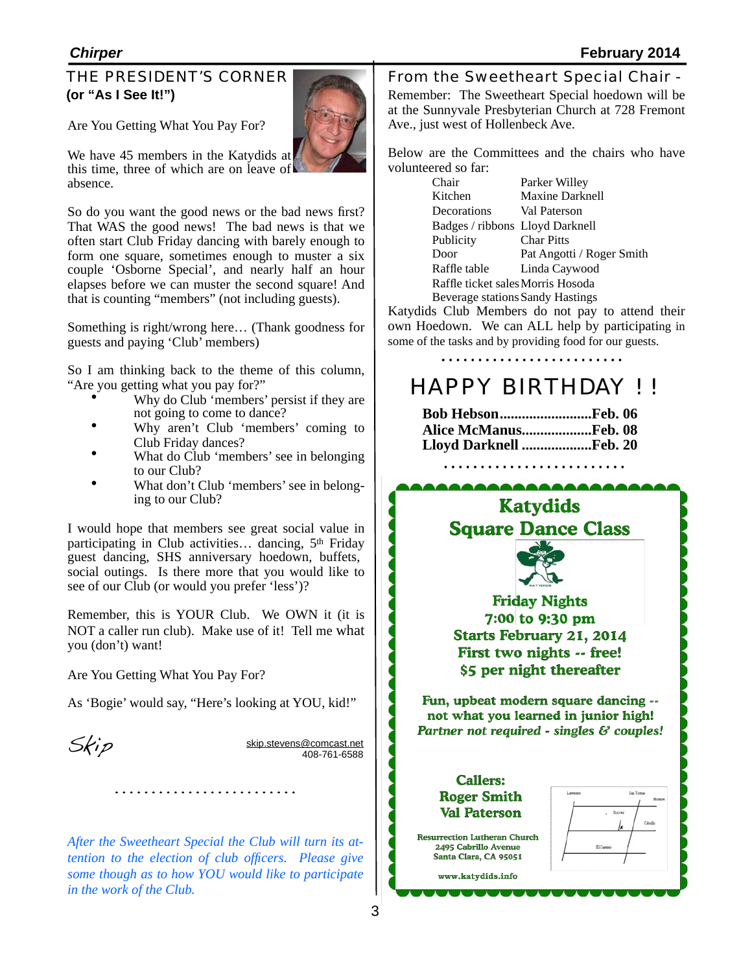#### THE PRESIDENT'S CORNER **(or "As I See It!")**

Are You Getting What You Pay For?

this time, three of which are on leave of We have 45 members in the Katydids at absence.

So do you want the good news or the bad news first? That WAS the good news! The bad news is that we often start Club Friday dancing with barely enough to form one square, sometimes enough to muster a six couple 'Osborne Special', and nearly half an hour elapses before we can muster the second square! And that is counting "members" (not including guests).

Something is right/wrong here… (Thank goodness for guests and paying 'Club' members)

So I am thinking back to the theme of this column, "Are you getting what you pay for?"

- Why do Club 'members' persist if they are not going to come to dance?
- Why aren't Club 'members' coming to Club Friday dances? • What do Club 'members' see in belonging
- 
- to our Club?<br>What don't Club 'members' see in belonging to our Club?

I would hope that members see great social value in participating in Club activities... dancing, 5<sup>th</sup> Friday guest dancing, SHS anniversary hoedown, buffets, social outings. Is there more that you would like to see of our Club (or would you prefer 'less')?

Remember, this is YOUR Club. We OWN it (it is NOT a caller run club). Make use of it! Tell me what you (don't) want!

Are You Getting What You Pay For?

As 'Bogie' would say, "Here's looking at YOU, kid!"

 $Skip.$  [skip.stevens@comcast.net](mailto:skip.stevens@comcast.net) 408-761-6588

*After the Sweetheart Special the Club will turn its attention to the election of club officers. Please give some though as to how YOU would like to participate in the work of the Club.*

From the Sweetheart Special Chair -Remember: The Sweetheart Special hoedown will be at the Sunnyvale Presbyterian Church at 728 Fremont Ave., just west of Hollenbeck Ave.

Below are the Committees and the chairs who have volunteered so far:

| Chair                             | Parker Willey             |  |
|-----------------------------------|---------------------------|--|
| Kitchen                           | Maxine Darknell           |  |
| Decorations                       | Val Paterson              |  |
| Badges / ribbons Lloyd Darknell   |                           |  |
| Publicity                         | <b>Char Pitts</b>         |  |
| Door                              | Pat Angotti / Roger Smith |  |
| Raffle table                      | Linda Caywood             |  |
| Raffle ticket sales Morris Hosoda |                           |  |
| Beverage stations Sandy Hastings  |                           |  |

Katydids Club Members do not pay to attend their own Hoedown. We can ALL help by participating in some of the tasks and by providing food for our guests.

# HAPPY BIRTHDAY ! !

**Bob Hebson.........................Feb. 06 Alice McManus...................Feb. 08 Lloyd Darknell ...................Feb. 20**

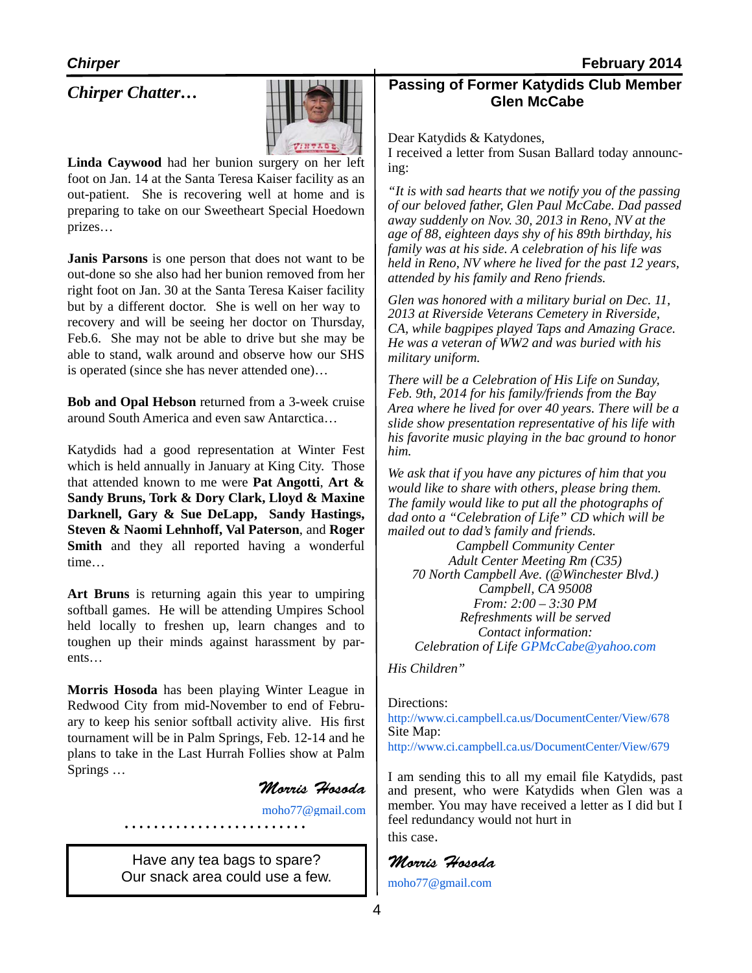### *Chirper Chatter…*



**Linda Caywood** had her bunion surgery on her left foot on Jan. 14 at the Santa Teresa Kaiser facility as an out-patient. She is recovering well at home and is preparing to take on our Sweetheart Special Hoedown prizes…

**Janis Parsons** is one person that does not want to be out-done so she also had her bunion removed from her right foot on Jan. 30 at the Santa Teresa Kaiser facility but by a different doctor. She is well on her way to recovery and will be seeing her doctor on Thursday, Feb.6. She may not be able to drive but she may be able to stand, walk around and observe how our SHS is operated (since she has never attended one)…

**Bob and Opal Hebson** returned from a 3-week cruise around South America and even saw Antarctica…

Katydids had a good representation at Winter Fest which is held annually in January at King City. Those that attended known to me were **Pat Angotti**, **Art & Sandy Bruns, Tork & Dory Clark, Lloyd & Maxine Darknell, Gary & Sue DeLapp, Sandy Hastings, Steven & Naomi Lehnhoff, Val Paterson**, and **Roger Smith** and they all reported having a wonderful time…

**Art Bruns** is returning again this year to umpiring softball games. He will be attending Umpires School held locally to freshen up, learn changes and to toughen up their minds against harassment by parents…

**Morris Hosoda** has been playing Winter League in Redwood City from mid-November to end of February to keep his senior softball activity alive. His first tournament will be in Palm Springs, Feb. 12-14 and he plans to take in the Last Hurrah Follies show at Palm Springs …

*Morris Hosoda*

[moho77@gmail.com](mailto:moho77@gmail.com)

Have any tea bags to spare? Our snack area could use a few.

#### **Passing of Former Katydids Club Member Glen McCabe**

Dear Katydids & Katydones,

I received a letter from Susan Ballard today announcing:

*"It is with sad hearts that we notify you of the passing of our beloved father, Glen Paul McCabe. Dad passed away suddenly on Nov. 30, 2013 in Reno, NV at the age of 88, eighteen days shy of his 89th birthday, his family was at his side. A celebration of his life was held in Reno, NV where he lived for the past 12 years, attended by his family and Reno friends.*

*Glen was honored with a military burial on Dec. 11, 2013 at Riverside Veterans Cemetery in Riverside, CA, while bagpipes played Taps and Amazing Grace. He was a veteran of WW2 and was buried with his military uniform.*

*There will be a Celebration of His Life on Sunday, Feb. 9th, 2014 for his family/friends from the Bay Area where he lived for over 40 years. There will be a slide show presentation representative of his life with his favorite music playing in the bac ground to honor him.*

*We ask that if you have any pictures of him that you would like to share with others, please bring them. The family would like to put all the photographs of dad onto a "Celebration of Life" CD which will be mailed out to dad's family and friends.*

*Campbell Community Center Adult Center Meeting Rm (C35) 70 North Campbell Ave. (@Winchester Blvd.) Campbell, CA 95008 From: 2:00 – 3:30 PM Refreshments will be served Contact information: Celebration of Life [GPMcCabe@yahoo.com](mailto:GPMcCabe@yahoo.com)*

*His Children"*

Directions: http://www.ci.campbell.ca.us/DocumentCenter/View/678 Site Map: http://www.ci.campbell.ca.us/DocumentCenter/View/679

I am sending this to all my email file Katydids, past and present, who were Katydids when Glen was a member. You may have received a letter as I did but I feel redundancy would not hurt in this case.

## *Morris Hosoda*

[moho77@gmail.com](mailto:moho77@gmail.com)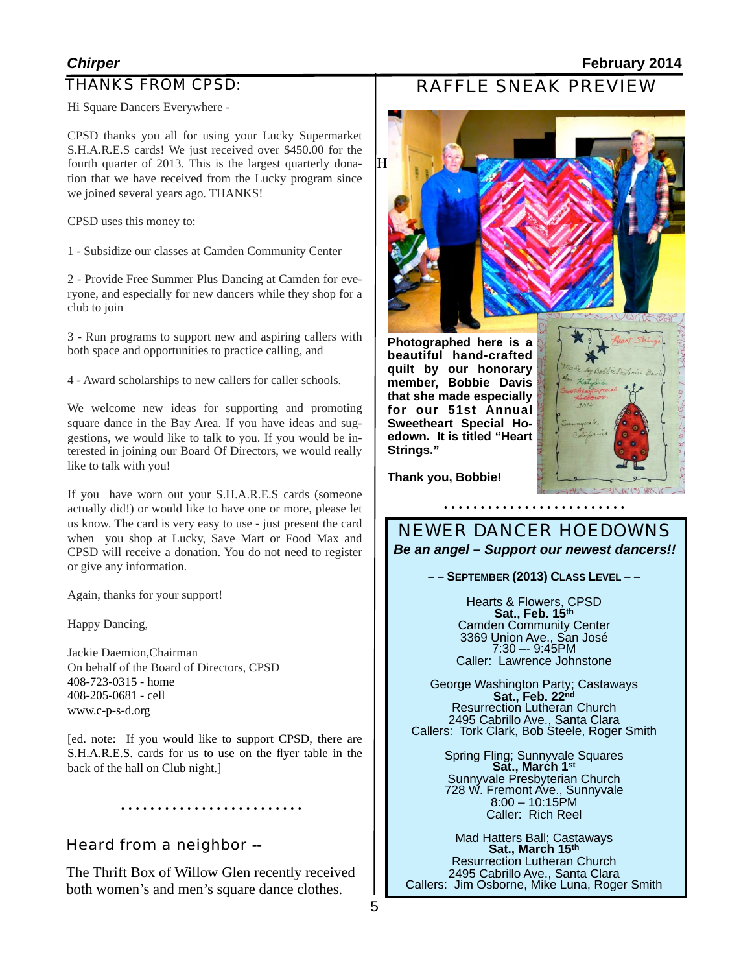#### THANKS FROM CPSD:

#### *Chirper* **February 2014**

RAFFLE SNEAK PREVIEW

Hi Square Dancers Everywhere -

CPSD thanks you all for using your Lucky Supermarket S.H.A.R.E.S cards! We just received over \$450.00 for the fourth quarter of 2013. This is the largest quarterly donation that we have received from the Lucky program since we joined several years ago. THANKS!

CPSD uses this money to:

1 - Subsidize our classes at Camden Community Center

2 - Provide Free Summer Plus Dancing at Camden for everyone, and especially for new dancers while they shop for a club to join

3 - Run programs to support new and aspiring callers with both space and opportunities to practice calling, and

4 - Award scholarships to new callers for caller schools.

We welcome new ideas for supporting and promoting square dance in the Bay Area. If you have ideas and suggestions, we would like to talk to you. If you would be interested in joining our Board Of Directors, we would really like to talk with you!

If you have worn out your S.H.A.R.E.S cards (someone actually did!) or would like to have one or more, please let us know. The card is very easy to use - just present the card when you shop at Lucky, Save Mart or Food Max and CPSD will receive a donation. You do not need to register or give any information.

Again, thanks for your support!

Happy Dancing,

Jackie Daemion,Chairman On behalf of the Board of Directors, CPSD 408-723-0315 - home 408-205-0681 - cell [www.c-p-s-d.org](http://www.c-p-s-d.org/)

[ed. note: If you would like to support CPSD, there are S.H.A.R.E.S. cards for us to use on the flyer table in the back of the hall on Club night.]

Heard from a neighbor --

The Thrift Box of Willow Glen recently received both women's and men's square dance clothes.



**Photographed here is a beautiful hand-crafted quilt by our honorary member, Bobbie Davis that she made especially for our 51st Annual Sweetheart Special Hoedown. It is titled "Heart Strings."**



**Thank you, Bobbie!**

NEWER DANCER HOEDOWNS *Be an angel – Support our newest dancers!!*

**– – SEPTEMBER (2013) CLASS LEVEL – –** 

Hearts & Flowers, CPSD **Sat., Feb. 15th** Camden Community Center 3369 Union Ave., San José 7:30 –- 9:45PM Caller: Lawrence Johnstone

George Washington Party; Castaways **Sat., Feb. 22nd** Resurrection Lutheran Church 2495 Cabrillo Ave., Santa Clara Callers: Tork Clark, Bob Steele, Roger Smith

> Spring Fling; Sunnyvale Squares **Sat., March 1st** Sunnyvale Presbyterian Church 728 W. Fremont Ave., Sunnyvale 8:00 – 10:15PM Caller: Rich Reel

Mad Hatters Ball; Castaways **Sat., March 15th** Resurrection Lutheran Church 2495 Cabrillo Ave., Santa Clara Callers: Jim Osborne, Mike Luna, Roger Smith